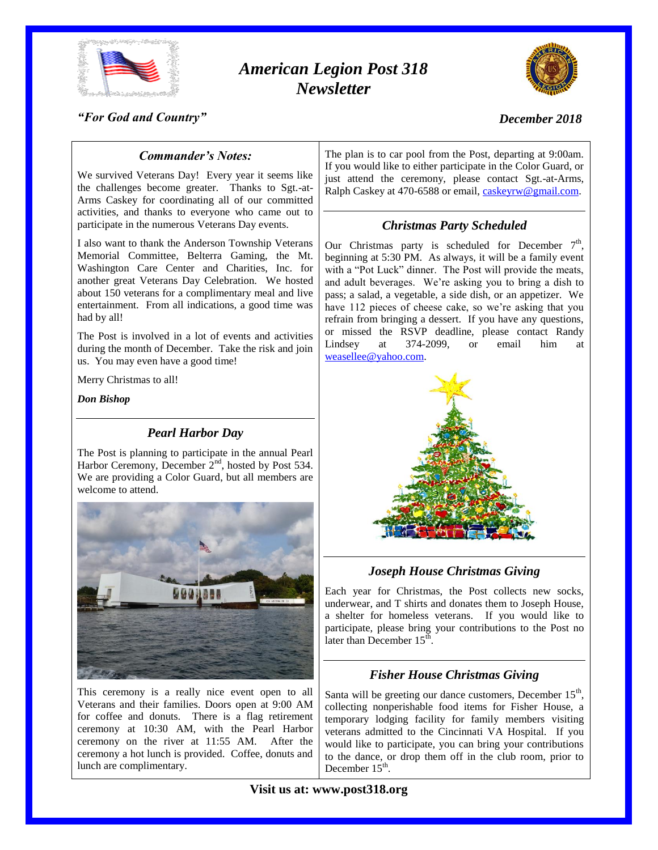

# *American Legion Post 318 Newsletter*



## *"For God and Country"*

## *December 2018*

# *Commander's Notes:*

We survived Veterans Day! Every year it seems like the challenges become greater. Thanks to Sgt.-at-Arms Caskey for coordinating all of our committed activities, and thanks to everyone who came out to participate in the numerous Veterans Day events.

I also want to thank the Anderson Township Veterans Memorial Committee, Belterra Gaming, the Mt. Washington Care Center and Charities, Inc. for another great Veterans Day Celebration. We hosted about 150 veterans for a complimentary meal and live entertainment. From all indications, a good time was had by all!

The Post is involved in a lot of events and activities during the month of December. Take the risk and join us. You may even have a good time!

Merry Christmas to all!

*Don Bishop*

## *Pearl Harbor Day*

The Post is planning to participate in the annual Pearl Harbor Ceremony, December  $2<sup>nd</sup>$ , hosted by Post 534. We are providing a Color Guard, but all members are welcome to attend.



This ceremony is a really nice event open to all Veterans and their families. Doors open at 9:00 AM for coffee and donuts. There is a flag retirement ceremony at 10:30 AM, with the Pearl Harbor ceremony on the river at 11:55 AM. After the ceremony a hot lunch is provided. Coffee, donuts and lunch are complimentary.

The plan is to car pool from the Post, departing at 9:00am. If you would like to either participate in the Color Guard, or just attend the ceremony, please contact Sgt.-at-Arms, Ralph Caskey at 470-6588 or email, [caskeyrw@gmail.com.](mailto:caskeyrw@gmail.com)

## *Christmas Party Scheduled*

Our Christmas party is scheduled for December  $7<sup>th</sup>$ , beginning at 5:30 PM. As always, it will be a family event with a "Pot Luck" dinner. The Post will provide the meats, and adult beverages. We're asking you to bring a dish to pass; a salad, a vegetable, a side dish, or an appetizer. We have 112 pieces of cheese cake, so we're asking that you refrain from bringing a dessert. If you have any questions, or missed the RSVP deadline, please contact Randy Lindsey at 374-2099, or email him at [weasellee@yahoo.com.](mailto:weasellee@yahoo.com)



*Joseph House Christmas Giving*

Each year for Christmas, the Post collects new socks, underwear, and T shirts and donates them to Joseph House, a shelter for homeless veterans. If you would like to participate, please bring your contributions to the Post no later than December  $15<sup>th</sup>$ .

## *Fisher House Christmas Giving*

Santa will be greeting our dance customers, December  $15<sup>th</sup>$ , collecting nonperishable food items for Fisher House, a temporary lodging facility for family members visiting veterans admitted to the Cincinnati VA Hospital. If you would like to participate, you can bring your contributions to the dance, or drop them off in the club room, prior to December  $15<sup>th</sup>$ .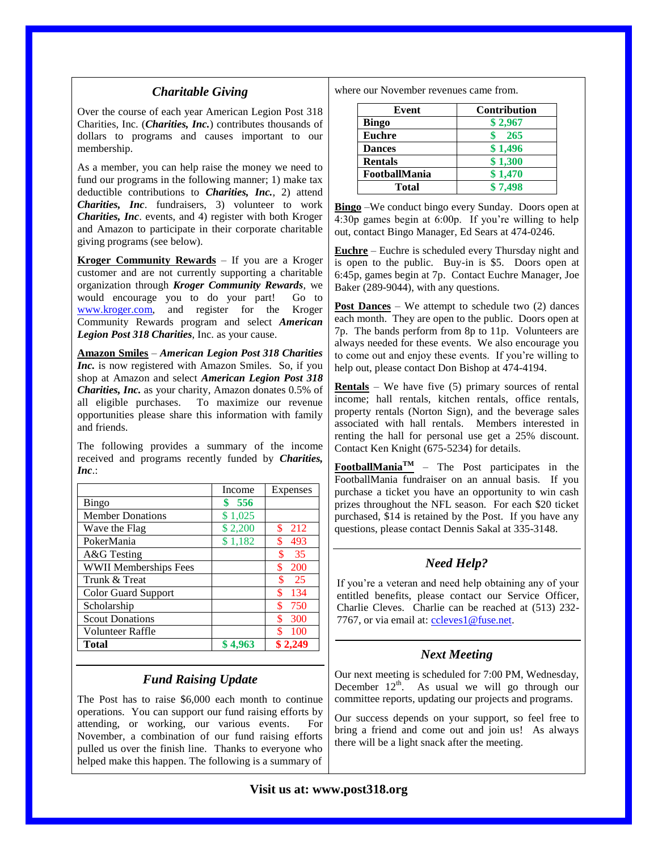#### *Charitable Giving*

Over the course of each year American Legion Post 318 Charities, Inc. (*Charities, Inc.*) contributes thousands of dollars to programs and causes important to our membership.

As a member, you can help raise the money we need to fund our programs in the following manner; 1) make tax deductible contributions to *Charities, Inc.*, 2) attend *Charities, Inc*. fundraisers, 3) volunteer to work *Charities, Inc*. events, and 4) register with both Kroger and Amazon to participate in their corporate charitable giving programs (see below).

**Kroger Community Rewards** – If you are a Kroger customer and are not currently supporting a charitable organization through *Kroger Community Rewards*, we would encourage you to do your part! Go to [www.kroger.com,](http://www.kroger.com/) and register for the Kroger Community Rewards program and select *American Legion Post 318 Charities*, Inc. as your cause.

**Amazon Smiles** – *American Legion Post 318 Charities Inc.* is now registered with Amazon Smiles. So, if you shop at Amazon and select *American Legion Post 318 Charities, Inc.* as your charity, Amazon donates 0.5% of all eligible purchases. To maximize our revenue opportunities please share this information with family and friends.

The following provides a summary of the income received and programs recently funded by *Charities, Inc*.:

|                              | Income  | Expenses         |
|------------------------------|---------|------------------|
| <b>Bingo</b>                 | -556    |                  |
| <b>Member Donations</b>      | \$1,025 |                  |
| Wave the Flag                | \$2,200 | \$<br>212        |
| PokerMania                   | \$1,182 | 493<br>\$        |
| A&G Testing                  |         | \$<br>35         |
| <b>WWII Memberships Fees</b> |         | \$<br><b>200</b> |
| Trunk & Treat                |         | \$<br>25         |
| <b>Color Guard Support</b>   |         | \$<br>134        |
| Scholarship                  |         | \$<br>750        |
| <b>Scout Donations</b>       |         | \$<br>300        |
| Volunteer Raffle             |         | ፍ<br>100         |
| Total                        |         |                  |

## *Fund Raising Update*

The Post has to raise \$6,000 each month to continue operations. You can support our fund raising efforts by attending, or working, our various events. For November, a combination of our fund raising efforts pulled us over the finish line. Thanks to everyone who helped make this happen. The following is a summary of

where our November revenues came from.

| Event          | <b>Contribution</b> |
|----------------|---------------------|
| Bingo          | \$2,967             |
| <b>Euchre</b>  | -265                |
| <b>Dances</b>  | \$1,496             |
| <b>Rentals</b> | \$1,300             |
| FootballMania  | \$1,470             |
| Total          | \$7,498             |

**Bingo** –We conduct bingo every Sunday. Doors open at 4:30p games begin at 6:00p. If you're willing to help out, contact Bingo Manager, Ed Sears at 474-0246.

**Euchre** – Euchre is scheduled every Thursday night and is open to the public. Buy-in is \$5. Doors open at 6:45p, games begin at 7p. Contact Euchre Manager, Joe Baker (289-9044), with any questions.

**Post Dances** – We attempt to schedule two (2) dances each month. They are open to the public. Doors open at 7p. The bands perform from 8p to 11p. Volunteers are always needed for these events. We also encourage you to come out and enjoy these events. If you're willing to help out, please contact Don Bishop at 474-4194.

**Rentals** – We have five (5) primary sources of rental income; hall rentals, kitchen rentals, office rentals, property rentals (Norton Sign), and the beverage sales associated with hall rentals. Members interested in renting the hall for personal use get a 25% discount. Contact Ken Knight (675-5234) for details.

**FootballManiaTM** – The Post participates in the FootballMania fundraiser on an annual basis. If you purchase a ticket you have an opportunity to win cash prizes throughout the NFL season. For each \$20 ticket purchased, \$14 is retained by the Post. If you have any questions, please contact Dennis Sakal at 335-3148.

## *Need Help?*

If you're a veteran and need help obtaining any of your entitled benefits, please contact our Service Officer, Charlie Cleves. Charlie can be reached at (513) 232 7767, or via email at: [ccleves1@fuse.net.](mailto:ccleves1@fuse.net)

#### *Next Meeting*

Our next meeting is scheduled for 7:00 PM, Wednesday, December  $12<sup>th</sup>$ . As usual we will go through our committee reports, updating our projects and programs.

Our success depends on your support, so feel free to bring a friend and come out and join us! As always there will be a light snack after the meeting.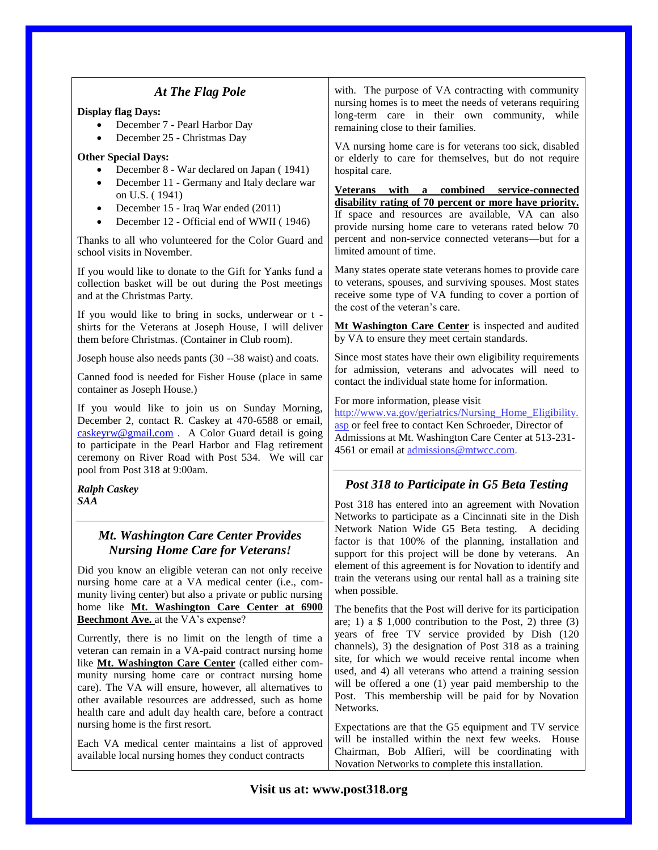|                                                                                                                                                                                                                                                                                                                                                                                                           | with. The purpose of VA contracting with community                                                                                                                                                                                                                                                                                                                                                                                                                                                        |  |
|-----------------------------------------------------------------------------------------------------------------------------------------------------------------------------------------------------------------------------------------------------------------------------------------------------------------------------------------------------------------------------------------------------------|-----------------------------------------------------------------------------------------------------------------------------------------------------------------------------------------------------------------------------------------------------------------------------------------------------------------------------------------------------------------------------------------------------------------------------------------------------------------------------------------------------------|--|
| At The Flag Pole<br><b>Display flag Days:</b><br>December 7 - Pearl Harbor Day<br>December 25 - Christmas Day<br>$\bullet$<br><b>Other Special Days:</b><br>December 8 - War declared on Japan (1941)<br>December 11 - Germany and Italy declare war<br>$\bullet$<br>on U.S. (1941)<br>December 15 - Iraq War ended (2011)<br>$\bullet$<br>December 12 - Official end of WWII (1946)<br>$\bullet$         | nursing homes is to meet the needs of veterans requiring<br>long-term care in their own community, while<br>remaining close to their families.<br>VA nursing home care is for veterans too sick, disabled<br>or elderly to care for themselves, but do not require<br>hospital care.<br>Veterans with a combined service-connected<br>disability rating of 70 percent or more have priority.<br>If space and resources are available, VA can also<br>provide nursing home care to veterans rated below 70 |  |
| Thanks to all who volunteered for the Color Guard and<br>school visits in November.                                                                                                                                                                                                                                                                                                                       | percent and non-service connected veterans-but for a<br>limited amount of time.                                                                                                                                                                                                                                                                                                                                                                                                                           |  |
| If you would like to donate to the Gift for Yanks fund a<br>collection basket will be out during the Post meetings<br>and at the Christmas Party.<br>If you would like to bring in socks, underwear or t -                                                                                                                                                                                                | Many states operate state veterans homes to provide care<br>to veterans, spouses, and surviving spouses. Most states<br>receive some type of VA funding to cover a portion of<br>the cost of the veteran's care.                                                                                                                                                                                                                                                                                          |  |
| shirts for the Veterans at Joseph House, I will deliver<br>them before Christmas. (Container in Club room).                                                                                                                                                                                                                                                                                               | Mt Washington Care Center is inspected and audited<br>by VA to ensure they meet certain standards.                                                                                                                                                                                                                                                                                                                                                                                                        |  |
| Joseph house also needs pants (30 --38 waist) and coats.                                                                                                                                                                                                                                                                                                                                                  | Since most states have their own eligibility requirements<br>for admission, veterans and advocates will need to                                                                                                                                                                                                                                                                                                                                                                                           |  |
| Canned food is needed for Fisher House (place in same<br>container as Joseph House.)                                                                                                                                                                                                                                                                                                                      | contact the individual state home for information.                                                                                                                                                                                                                                                                                                                                                                                                                                                        |  |
| If you would like to join us on Sunday Morning,<br>December 2, contact R. Caskey at 470-6588 or email,<br>caskeyrw@gmail.com . A Color Guard detail is going<br>to participate in the Pearl Harbor and Flag retirement<br>ceremony on River Road with Post 534. We will car<br>pool from Post 318 at 9:00am.                                                                                              | For more information, please visit<br>http://www.va.gov/geriatrics/Nursing Home Eligibility.<br>asp or feel free to contact Ken Schroeder, Director of<br>Admissions at Mt. Washington Care Center at 513-231-<br>4561 or email at admissions@mtwcc.com.                                                                                                                                                                                                                                                  |  |
| <b>Ralph Caskey</b>                                                                                                                                                                                                                                                                                                                                                                                       | Post 318 to Participate in G5 Beta Testing                                                                                                                                                                                                                                                                                                                                                                                                                                                                |  |
| SAA                                                                                                                                                                                                                                                                                                                                                                                                       | Post 318 has entered into an agreement with Novation<br>Networks to participate as a Cincinnati site in the Dish<br>Network Nation Wide G5 Beta testing. A deciding                                                                                                                                                                                                                                                                                                                                       |  |
| <b>Mt. Washington Care Center Provides</b><br><b>Nursing Home Care for Veterans!</b><br>Did you know an eligible veteran can not only receive<br>nursing home care at a VA medical center (i.e., com-<br>munity living center) but also a private or public nursing                                                                                                                                       | factor is that 100% of the planning, installation and<br>support for this project will be done by veterans. An<br>element of this agreement is for Novation to identify and<br>train the veterans using our rental hall as a training site<br>when possible.                                                                                                                                                                                                                                              |  |
| home like Mt. Washington Care Center at 6900<br><b>Beechmont Ave.</b> at the VA's expense?                                                                                                                                                                                                                                                                                                                | The benefits that the Post will derive for its participation<br>are; 1) a $$1,000$ contribution to the Post, 2) three (3)                                                                                                                                                                                                                                                                                                                                                                                 |  |
| Currently, there is no limit on the length of time a<br>veteran can remain in a VA-paid contract nursing home<br>like Mt. Washington Care Center (called either com-<br>munity nursing home care or contract nursing home<br>care). The VA will ensure, however, all alternatives to<br>other available resources are addressed, such as home<br>health care and adult day health care, before a contract | years of free TV service provided by Dish (120<br>channels), 3) the designation of Post 318 as a training<br>site, for which we would receive rental income when<br>used, and 4) all veterans who attend a training session<br>will be offered a one (1) year paid membership to the<br>Post. This membership will be paid for by Novation<br>Networks.                                                                                                                                                   |  |
| nursing home is the first resort.<br>Each VA medical center maintains a list of approved<br>available local nursing homes they conduct contracts                                                                                                                                                                                                                                                          | Expectations are that the G5 equipment and TV service<br>will be installed within the next few weeks. House<br>Chairman, Bob Alfieri, will be coordinating with<br>Novation Networks to complete this installation.                                                                                                                                                                                                                                                                                       |  |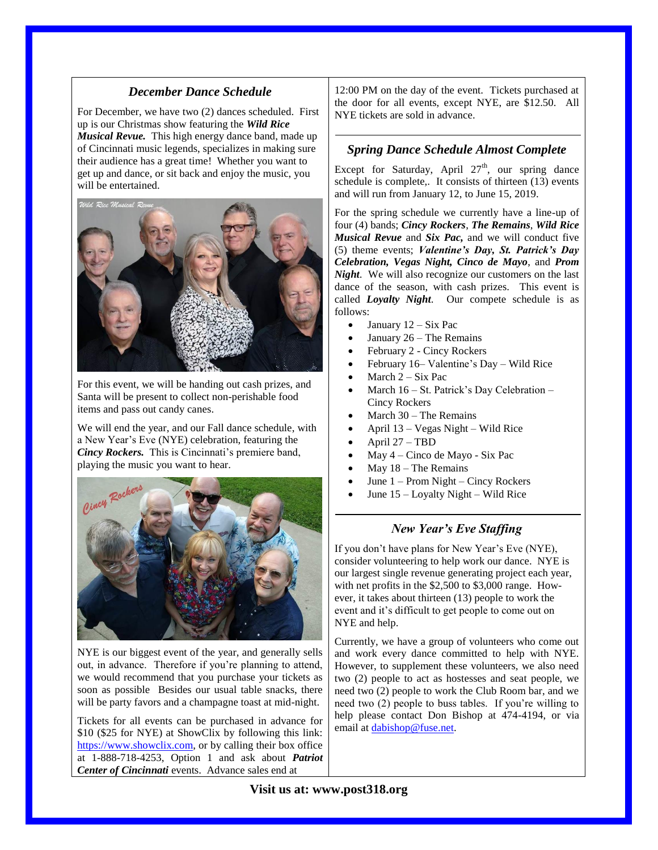## *December Dance Schedule*

For December, we have two (2) dances scheduled. First up is our Christmas show featuring the *Wild Rice Musical Revue.* This high energy dance band, made up of Cincinnati music legends, specializes in making sure their audience has a great time! Whether you want to get up and dance, or sit back and enjoy the music, you will be entertained.



For this event, we will be handing out cash prizes, and Santa will be present to collect non-perishable food items and pass out candy canes.

We will end the year, and our Fall dance schedule, with a New Year's Eve (NYE) celebration, featuring the *Cincy Rockers.* This is Cincinnati's premiere band, playing the music you want to hear.



NYE is our biggest event of the year, and generally sells out, in advance. Therefore if you're planning to attend, we would recommend that you purchase your tickets as soon as possible Besides our usual table snacks, there will be party favors and a champagne toast at mid-night.

Tickets for all events can be purchased in advance for \$10 (\$25 for NYE) at ShowClix by following this link: [https://www.showclix.com,](https://www.showclix.com/) or by calling their box office at 1-888-718-4253, Option 1 and ask about *Patriot Center of Cincinnati* events. Advance sales end at

12:00 PM on the day of the event. Tickets purchased at the door for all events, except NYE, are \$12.50. All NYE tickets are sold in advance.

#### *Spring Dance Schedule Almost Complete*

Except for Saturday, April  $27<sup>th</sup>$ , our spring dance schedule is complete,. It consists of thirteen (13) events and will run from January 12, to June 15, 2019.

For the spring schedule we currently have a line-up of four (4) bands; *Cincy Rockers*, *The Remains*, *Wild Rice Musical Revue* and *Six Pac,* and we will conduct five (5) theme events; *Valentine's Day, St. Patrick's Day Celebration, Vegas Night, Cinco de Mayo*, and *Prom Night*. We will also recognize our customers on the last dance of the season, with cash prizes. This event is called *Loyalty Night*. Our compete schedule is as follows:

- January  $12 Six$  Pac
- January 26 The Remains
- February 2 Cincy Rockers
- February 16– Valentine's Day Wild Rice
- March 2 Six Pac
- March 16 St. Patrick's Day Celebration Cincy Rockers
- March 30 The Remains
- April 13 Vegas Night Wild Rice
- April 27 TBD
- May 4 Cinco de Mayo Six Pac
- May 18 The Remains
- June 1 Prom Night Cincy Rockers
- June 15 Loyalty Night Wild Rice

# *New Year's Eve Staffing*

If you don't have plans for New Year's Eve (NYE), consider volunteering to help work our dance. NYE is our largest single revenue generating project each year, with net profits in the \$2,500 to \$3,000 range. However, it takes about thirteen (13) people to work the event and it's difficult to get people to come out on NYE and help.

Currently, we have a group of volunteers who come out and work every dance committed to help with NYE. However, to supplement these volunteers, we also need two (2) people to act as hostesses and seat people, we need two (2) people to work the Club Room bar, and we need two (2) people to buss tables. If you're willing to help please contact Don Bishop at 474-4194, or via email at [dabishop@fuse.net.](mailto:dabishop@fuse.net)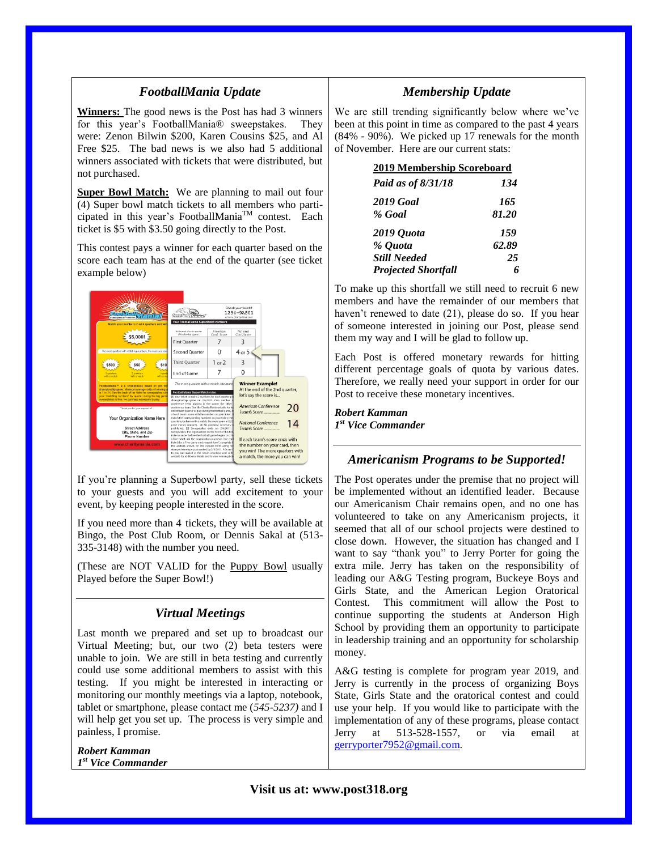## *FootballMania Update*

**Winners:** The good news is the Post has had 3 winners for this year's FootballMania® sweepstakes. They were: Zenon Bilwin \$200, Karen Cousins \$25, and Al Free \$25. The bad news is we also had 5 additional winners associated with tickets that were distributed, but not purchased.

**Super Bowl Match:** We are planning to mail out four (4) Super bowl match tickets to all members who participated in this year's FootballMania $^{TM}$  contest. Each ticket is \$5 with \$3.50 going directly to the Post.

This contest pays a winner for each quarter based on the score each team has at the end of the quarter (see ticket example below)



If you're planning a Superbowl party, sell these tickets to your guests and you will add excitement to your event, by keeping people interested in the score.

If you need more than 4 tickets, they will be available at Bingo, the Post Club Room, or Dennis Sakal at (513- 335-3148) with the number you need.

(These are NOT VALID for the Puppy Bowl usually Played before the Super Bowl!)

## *Virtual Meetings*

Last month we prepared and set up to broadcast our Virtual Meeting; but, our two (2) beta testers were unable to join. We are still in beta testing and currently could use some additional members to assist with this testing. If you might be interested in interacting or monitoring our monthly meetings via a laptop, notebook, tablet or smartphone, please contact me (*545-5237)* and I will help get you set up. The process is very simple and painless, I promise.

*Robert Kamman 1 st Vice Commander*

# *Membership Update*

We are still trending significantly below where we've been at this point in time as compared to the past 4 years (84% - 90%). We picked up 17 renewals for the month of November. Here are our current stats:

| <b>2019 Membership Scoreboard</b> |              |  |
|-----------------------------------|--------------|--|
| Paid as of 8/31/18                | 134          |  |
| 2019 Goal<br>% Goal               | 165<br>81.20 |  |
| 2019 Quota                        | 159          |  |
| % Quota                           | 62.89        |  |
| <b>Still Needed</b>               | 25           |  |
| <b>Projected Shortfall</b>        |              |  |

To make up this shortfall we still need to recruit 6 new members and have the remainder of our members that haven't renewed to date (21), please do so. If you hear of someone interested in joining our Post, please send them my way and I will be glad to follow up.

Each Post is offered monetary rewards for hitting different percentage goals of quota by various dates. Therefore, we really need your support in order for our Post to receive these monetary incentives.

#### *Robert Kamman 1 st Vice Commander*

## *Americanism Programs to be Supported!*

The Post operates under the premise that no project will be implemented without an identified leader. Because our Americanism Chair remains open, and no one has volunteered to take on any Americanism projects, it seemed that all of our school projects were destined to close down. However, the situation has changed and I want to say "thank you" to Jerry Porter for going the extra mile. Jerry has taken on the responsibility of leading our A&G Testing program, Buckeye Boys and Girls State, and the American Legion Oratorical Contest. This commitment will allow the Post to continue supporting the students at Anderson High School by providing them an opportunity to participate in leadership training and an opportunity for scholarship money.

A&G testing is complete for program year 2019, and Jerry is currently in the process of organizing Boys State, Girls State and the oratorical contest and could use your help. If you would like to participate with the implementation of any of these programs, please contact Jerry at 513-528-1557, or via email at [gerryporter7952@gmail.com.](mailto:gerryporter7952@gmail.com)